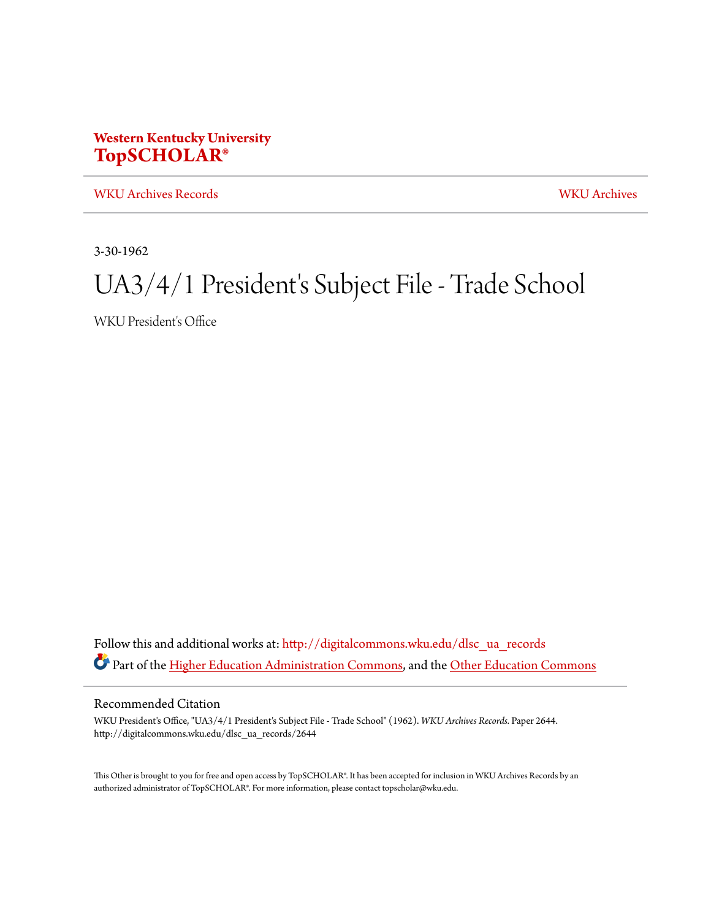## **Western Kentucky University [TopSCHOLAR®](http://digitalcommons.wku.edu?utm_source=digitalcommons.wku.edu%2Fdlsc_ua_records%2F2644&utm_medium=PDF&utm_campaign=PDFCoverPages)**

[WKU Archives Records](http://digitalcommons.wku.edu/dlsc_ua_records?utm_source=digitalcommons.wku.edu%2Fdlsc_ua_records%2F2644&utm_medium=PDF&utm_campaign=PDFCoverPages) [WKU Archives](http://digitalcommons.wku.edu/dlsc_ua?utm_source=digitalcommons.wku.edu%2Fdlsc_ua_records%2F2644&utm_medium=PDF&utm_campaign=PDFCoverPages)

3-30-1962

## UA3/4/1 President's Subject File - Trade School

WKU President's Office

Follow this and additional works at: [http://digitalcommons.wku.edu/dlsc\\_ua\\_records](http://digitalcommons.wku.edu/dlsc_ua_records?utm_source=digitalcommons.wku.edu%2Fdlsc_ua_records%2F2644&utm_medium=PDF&utm_campaign=PDFCoverPages) Part of the [Higher Education Administration Commons](http://network.bepress.com/hgg/discipline/791?utm_source=digitalcommons.wku.edu%2Fdlsc_ua_records%2F2644&utm_medium=PDF&utm_campaign=PDFCoverPages), and the [Other Education Commons](http://network.bepress.com/hgg/discipline/811?utm_source=digitalcommons.wku.edu%2Fdlsc_ua_records%2F2644&utm_medium=PDF&utm_campaign=PDFCoverPages)

## Recommended Citation

WKU President's Office, "UA3/4/1 President's Subject File - Trade School" (1962). *WKU Archives Records.* Paper 2644. http://digitalcommons.wku.edu/dlsc\_ua\_records/2644

This Other is brought to you for free and open access by TopSCHOLAR®. It has been accepted for inclusion in WKU Archives Records by an authorized administrator of TopSCHOLAR®. For more information, please contact topscholar@wku.edu.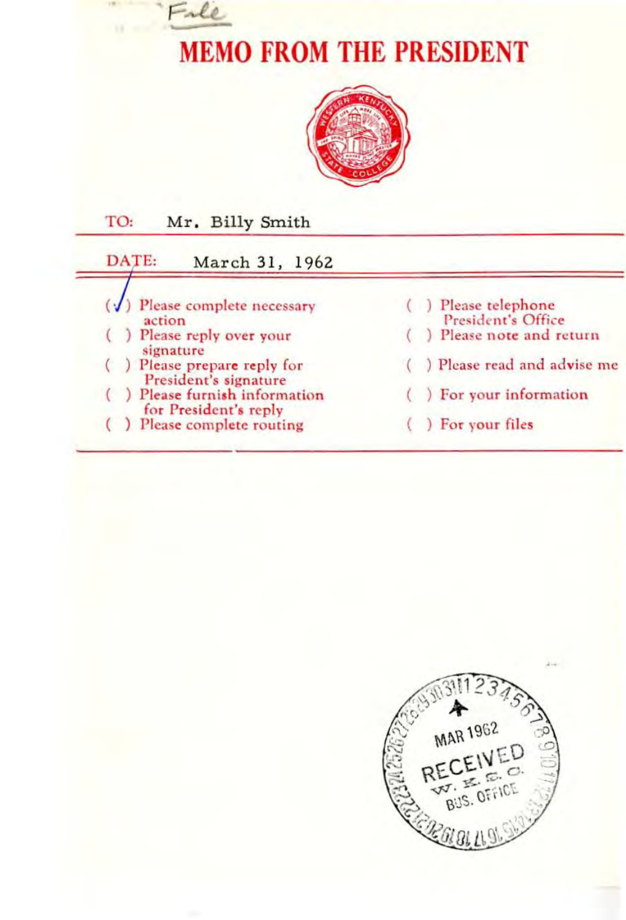



| Mr. Billy Smith<br>TO:                              |                                        |
|-----------------------------------------------------|----------------------------------------|
| DATE:<br>March 31, 1962                             |                                        |
| Please complete necessary<br>action                 | Please telephone<br>President's Office |
| Please reply over your<br>signature                 | Please note and return                 |
| Please prepare reply for<br>President's signature   | ) Please read and advise me            |
| Please furnish information<br>for President's reply | () For your information                |
| Please complete routing                             | For your files                         |